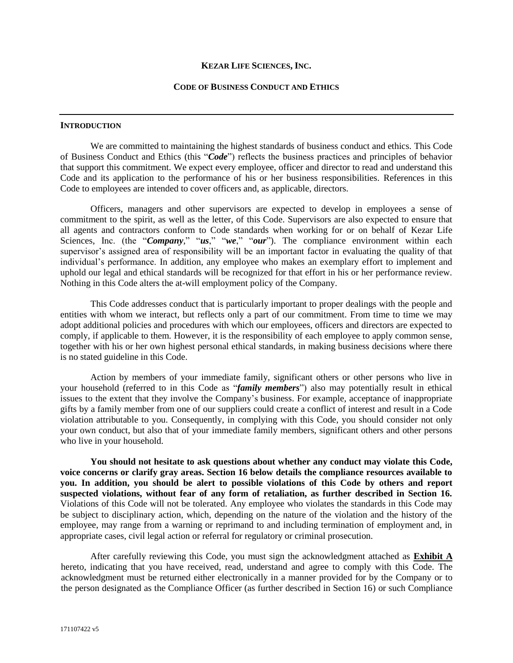#### **KEZAR LIFE SCIENCES, INC.**

#### **CODE OF BUSINESS CONDUCT AND ETHICS**

#### **INTRODUCTION**

We are committed to maintaining the highest standards of business conduct and ethics. This Code of Business Conduct and Ethics (this "*Code*") reflects the business practices and principles of behavior that support this commitment. We expect every employee, officer and director to read and understand this Code and its application to the performance of his or her business responsibilities. References in this Code to employees are intended to cover officers and, as applicable, directors.

Officers, managers and other supervisors are expected to develop in employees a sense of commitment to the spirit, as well as the letter, of this Code. Supervisors are also expected to ensure that all agents and contractors conform to Code standards when working for or on behalf of Kezar Life Sciences, Inc. (the "*Company*," "*us*," "*we*," "*our*"). The compliance environment within each supervisor's assigned area of responsibility will be an important factor in evaluating the quality of that individual's performance. In addition, any employee who makes an exemplary effort to implement and uphold our legal and ethical standards will be recognized for that effort in his or her performance review. Nothing in this Code alters the at-will employment policy of the Company.

This Code addresses conduct that is particularly important to proper dealings with the people and entities with whom we interact, but reflects only a part of our commitment. From time to time we may adopt additional policies and procedures with which our employees, officers and directors are expected to comply, if applicable to them. However, it is the responsibility of each employee to apply common sense, together with his or her own highest personal ethical standards, in making business decisions where there is no stated guideline in this Code.

Action by members of your immediate family, significant others or other persons who live in your household (referred to in this Code as "*family members*") also may potentially result in ethical issues to the extent that they involve the Company's business. For example, acceptance of inappropriate gifts by a family member from one of our suppliers could create a conflict of interest and result in a Code violation attributable to you. Consequently, in complying with this Code, you should consider not only your own conduct, but also that of your immediate family members, significant others and other persons who live in your household.

**You should not hesitate to ask questions about whether any conduct may violate this Code, voice concerns or clarify gray areas. Section 16 below details the compliance resources available to you. In addition, you should be alert to possible violations of this Code by others and report suspected violations, without fear of any form of retaliation, as further described in Section 16.** Violations of this Code will not be tolerated. Any employee who violates the standards in this Code may be subject to disciplinary action, which, depending on the nature of the violation and the history of the employee, may range from a warning or reprimand to and including termination of employment and, in appropriate cases, civil legal action or referral for regulatory or criminal prosecution.

After carefully reviewing this Code, you must sign the acknowledgment attached as **Exhibit A** hereto, indicating that you have received, read, understand and agree to comply with this Code. The acknowledgment must be returned either electronically in a manner provided for by the Company or to the person designated as the Compliance Officer (as further described in Section 16) or such Compliance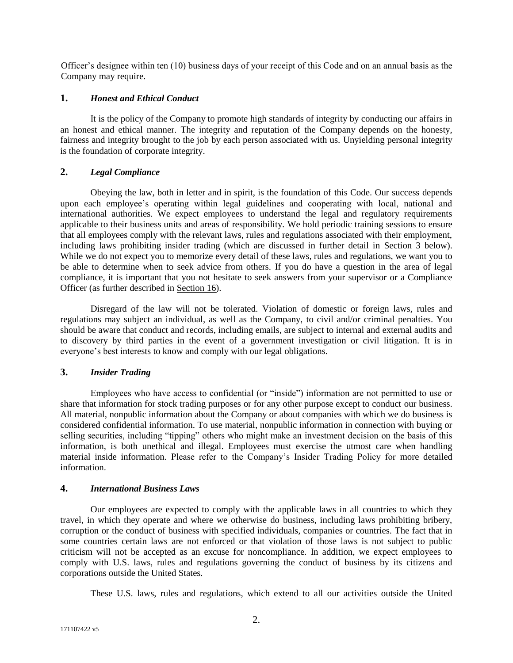Officer's designee within ten (10) business days of your receipt of this Code and on an annual basis as the Company may require.

## **1.** *Honest and Ethical Conduct*

It is the policy of the Company to promote high standards of integrity by conducting our affairs in an honest and ethical manner. The integrity and reputation of the Company depends on the honesty, fairness and integrity brought to the job by each person associated with us. Unyielding personal integrity is the foundation of corporate integrity.

# **2.** *Legal Compliance*

Obeying the law, both in letter and in spirit, is the foundation of this Code. Our success depends upon each employee's operating within legal guidelines and cooperating with local, national and international authorities. We expect employees to understand the legal and regulatory requirements applicable to their business units and areas of responsibility. We hold periodic training sessions to ensure that all employees comply with the relevant laws, rules and regulations associated with their employment, including laws prohibiting insider trading (which are discussed in further detail in Section 3 below). While we do not expect you to memorize every detail of these laws, rules and regulations, we want you to be able to determine when to seek advice from others. If you do have a question in the area of legal compliance, it is important that you not hesitate to seek answers from your supervisor or a Compliance Officer (as further described in Section 16).

Disregard of the law will not be tolerated. Violation of domestic or foreign laws, rules and regulations may subject an individual, as well as the Company, to civil and/or criminal penalties. You should be aware that conduct and records, including emails, are subject to internal and external audits and to discovery by third parties in the event of a government investigation or civil litigation. It is in everyone's best interests to know and comply with our legal obligations.

# **3.** *Insider Trading*

Employees who have access to confidential (or "inside") information are not permitted to use or share that information for stock trading purposes or for any other purpose except to conduct our business. All material, nonpublic information about the Company or about companies with which we do business is considered confidential information. To use material, nonpublic information in connection with buying or selling securities, including "tipping" others who might make an investment decision on the basis of this information, is both unethical and illegal. Employees must exercise the utmost care when handling material inside information. Please refer to the Company's Insider Trading Policy for more detailed information.

# **4.** *International Business Laws*

Our employees are expected to comply with the applicable laws in all countries to which they travel, in which they operate and where we otherwise do business, including laws prohibiting bribery, corruption or the conduct of business with specified individuals, companies or countries. The fact that in some countries certain laws are not enforced or that violation of those laws is not subject to public criticism will not be accepted as an excuse for noncompliance. In addition, we expect employees to comply with U.S. laws, rules and regulations governing the conduct of business by its citizens and corporations outside the United States.

These U.S. laws, rules and regulations, which extend to all our activities outside the United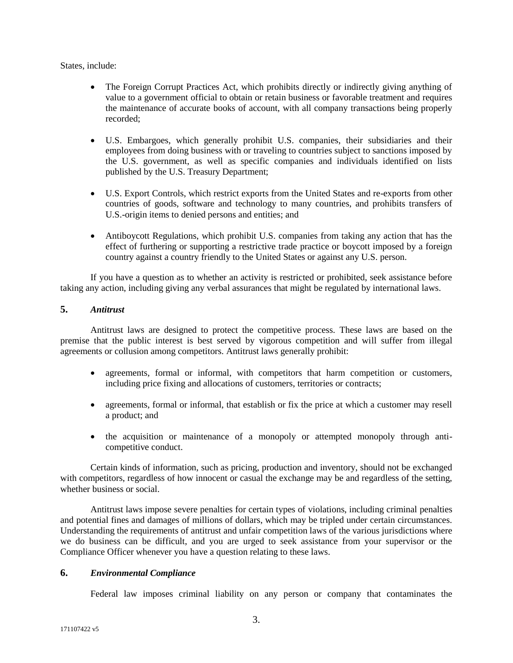States, include:

- The Foreign Corrupt Practices Act, which prohibits directly or indirectly giving anything of value to a government official to obtain or retain business or favorable treatment and requires the maintenance of accurate books of account, with all company transactions being properly recorded;
- U.S. Embargoes, which generally prohibit U.S. companies, their subsidiaries and their employees from doing business with or traveling to countries subject to sanctions imposed by the U.S. government, as well as specific companies and individuals identified on lists published by the U.S. Treasury Department;
- U.S. Export Controls, which restrict exports from the United States and re-exports from other countries of goods, software and technology to many countries, and prohibits transfers of U.S.-origin items to denied persons and entities; and
- Antiboycott Regulations, which prohibit U.S. companies from taking any action that has the effect of furthering or supporting a restrictive trade practice or boycott imposed by a foreign country against a country friendly to the United States or against any U.S. person.

If you have a question as to whether an activity is restricted or prohibited, seek assistance before taking any action, including giving any verbal assurances that might be regulated by international laws.

# **5.** *Antitrust*

Antitrust laws are designed to protect the competitive process. These laws are based on the premise that the public interest is best served by vigorous competition and will suffer from illegal agreements or collusion among competitors. Antitrust laws generally prohibit:

- agreements, formal or informal, with competitors that harm competition or customers, including price fixing and allocations of customers, territories or contracts;
- agreements, formal or informal, that establish or fix the price at which a customer may resell a product; and
- the acquisition or maintenance of a monopoly or attempted monopoly through anticompetitive conduct.

Certain kinds of information, such as pricing, production and inventory, should not be exchanged with competitors, regardless of how innocent or casual the exchange may be and regardless of the setting, whether business or social.

Antitrust laws impose severe penalties for certain types of violations, including criminal penalties and potential fines and damages of millions of dollars, which may be tripled under certain circumstances. Understanding the requirements of antitrust and unfair competition laws of the various jurisdictions where we do business can be difficult, and you are urged to seek assistance from your supervisor or the Compliance Officer whenever you have a question relating to these laws.

# **6.** *Environmental Compliance*

Federal law imposes criminal liability on any person or company that contaminates the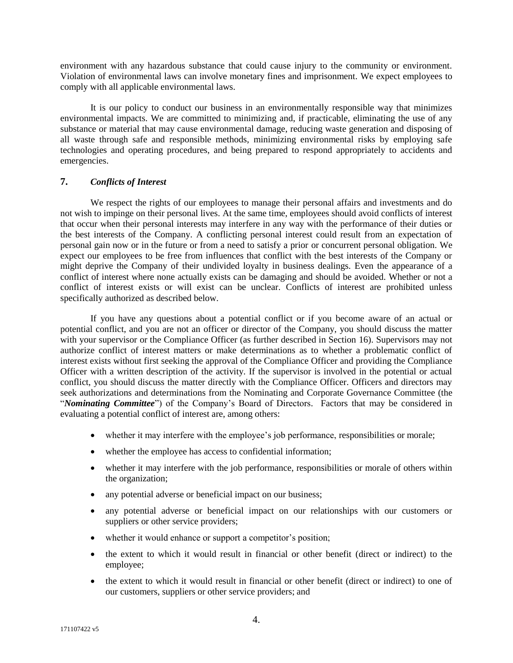environment with any hazardous substance that could cause injury to the community or environment. Violation of environmental laws can involve monetary fines and imprisonment. We expect employees to comply with all applicable environmental laws.

It is our policy to conduct our business in an environmentally responsible way that minimizes environmental impacts. We are committed to minimizing and, if practicable, eliminating the use of any substance or material that may cause environmental damage, reducing waste generation and disposing of all waste through safe and responsible methods, minimizing environmental risks by employing safe technologies and operating procedures, and being prepared to respond appropriately to accidents and emergencies.

# **7.** *Conflicts of Interest*

We respect the rights of our employees to manage their personal affairs and investments and do not wish to impinge on their personal lives. At the same time, employees should avoid conflicts of interest that occur when their personal interests may interfere in any way with the performance of their duties or the best interests of the Company. A conflicting personal interest could result from an expectation of personal gain now or in the future or from a need to satisfy a prior or concurrent personal obligation. We expect our employees to be free from influences that conflict with the best interests of the Company or might deprive the Company of their undivided loyalty in business dealings. Even the appearance of a conflict of interest where none actually exists can be damaging and should be avoided. Whether or not a conflict of interest exists or will exist can be unclear. Conflicts of interest are prohibited unless specifically authorized as described below.

If you have any questions about a potential conflict or if you become aware of an actual or potential conflict, and you are not an officer or director of the Company, you should discuss the matter with your supervisor or the Compliance Officer (as further described in Section 16). Supervisors may not authorize conflict of interest matters or make determinations as to whether a problematic conflict of interest exists without first seeking the approval of the Compliance Officer and providing the Compliance Officer with a written description of the activity. If the supervisor is involved in the potential or actual conflict, you should discuss the matter directly with the Compliance Officer. Officers and directors may seek authorizations and determinations from the Nominating and Corporate Governance Committee (the "*Nominating Committee*") of the Company's Board of Directors. Factors that may be considered in evaluating a potential conflict of interest are, among others:

- whether it may interfere with the employee's job performance, responsibilities or morale;
- whether the employee has access to confidential information;
- whether it may interfere with the job performance, responsibilities or morale of others within the organization;
- any potential adverse or beneficial impact on our business;
- any potential adverse or beneficial impact on our relationships with our customers or suppliers or other service providers;
- whether it would enhance or support a competitor's position;
- the extent to which it would result in financial or other benefit (direct or indirect) to the employee;
- the extent to which it would result in financial or other benefit (direct or indirect) to one of our customers, suppliers or other service providers; and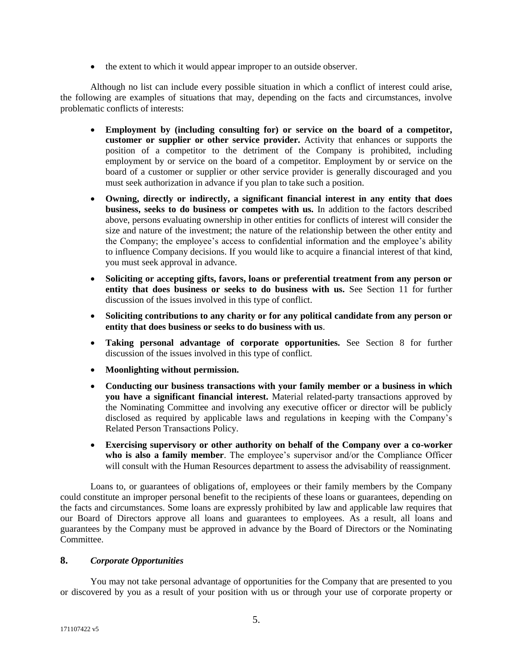• the extent to which it would appear improper to an outside observer.

Although no list can include every possible situation in which a conflict of interest could arise, the following are examples of situations that may, depending on the facts and circumstances, involve problematic conflicts of interests:

- **Employment by (including consulting for) or service on the board of a competitor, customer or supplier or other service provider.** Activity that enhances or supports the position of a competitor to the detriment of the Company is prohibited, including employment by or service on the board of a competitor. Employment by or service on the board of a customer or supplier or other service provider is generally discouraged and you must seek authorization in advance if you plan to take such a position.
- **Owning, directly or indirectly, a significant financial interest in any entity that does business, seeks to do business or competes with us.** In addition to the factors described above, persons evaluating ownership in other entities for conflicts of interest will consider the size and nature of the investment; the nature of the relationship between the other entity and the Company; the employee's access to confidential information and the employee's ability to influence Company decisions. If you would like to acquire a financial interest of that kind, you must seek approval in advance.
- **Soliciting or accepting gifts, favors, loans or preferential treatment from any person or entity that does business or seeks to do business with us.** See Section 11 for further discussion of the issues involved in this type of conflict.
- **Soliciting contributions to any charity or for any political candidate from any person or entity that does business or seeks to do business with us**.
- **Taking personal advantage of corporate opportunities.** See Section 8 for further discussion of the issues involved in this type of conflict.
- **Moonlighting without permission.**
- **Conducting our business transactions with your family member or a business in which you have a significant financial interest.** Material related-party transactions approved by the Nominating Committee and involving any executive officer or director will be publicly disclosed as required by applicable laws and regulations in keeping with the Company's Related Person Transactions Policy.
- **Exercising supervisory or other authority on behalf of the Company over a co-worker who is also a family member**. The employee's supervisor and/or the Compliance Officer will consult with the Human Resources department to assess the advisability of reassignment.

Loans to, or guarantees of obligations of, employees or their family members by the Company could constitute an improper personal benefit to the recipients of these loans or guarantees, depending on the facts and circumstances. Some loans are expressly prohibited by law and applicable law requires that our Board of Directors approve all loans and guarantees to employees. As a result, all loans and guarantees by the Company must be approved in advance by the Board of Directors or the Nominating Committee.

# **8.** *Corporate Opportunities*

You may not take personal advantage of opportunities for the Company that are presented to you or discovered by you as a result of your position with us or through your use of corporate property or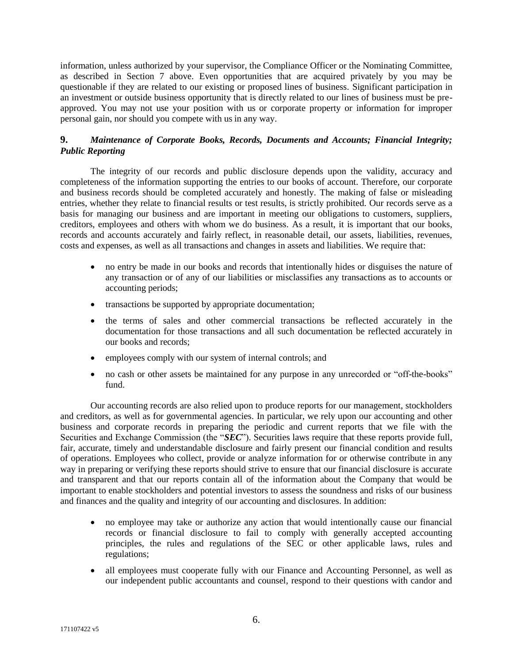information, unless authorized by your supervisor, the Compliance Officer or the Nominating Committee, as described in Section 7 above. Even opportunities that are acquired privately by you may be questionable if they are related to our existing or proposed lines of business. Significant participation in an investment or outside business opportunity that is directly related to our lines of business must be preapproved. You may not use your position with us or corporate property or information for improper personal gain, nor should you compete with us in any way.

# **9.** *Maintenance of Corporate Books, Records, Documents and Accounts; Financial Integrity; Public Reporting*

The integrity of our records and public disclosure depends upon the validity, accuracy and completeness of the information supporting the entries to our books of account. Therefore, our corporate and business records should be completed accurately and honestly. The making of false or misleading entries, whether they relate to financial results or test results, is strictly prohibited. Our records serve as a basis for managing our business and are important in meeting our obligations to customers, suppliers, creditors, employees and others with whom we do business. As a result, it is important that our books, records and accounts accurately and fairly reflect, in reasonable detail, our assets, liabilities, revenues, costs and expenses, as well as all transactions and changes in assets and liabilities. We require that:

- no entry be made in our books and records that intentionally hides or disguises the nature of any transaction or of any of our liabilities or misclassifies any transactions as to accounts or accounting periods;
- transactions be supported by appropriate documentation;
- the terms of sales and other commercial transactions be reflected accurately in the documentation for those transactions and all such documentation be reflected accurately in our books and records;
- employees comply with our system of internal controls; and
- no cash or other assets be maintained for any purpose in any unrecorded or "off-the-books" fund.

Our accounting records are also relied upon to produce reports for our management, stockholders and creditors, as well as for governmental agencies. In particular, we rely upon our accounting and other business and corporate records in preparing the periodic and current reports that we file with the Securities and Exchange Commission (the "*SEC*"). Securities laws require that these reports provide full, fair, accurate, timely and understandable disclosure and fairly present our financial condition and results of operations. Employees who collect, provide or analyze information for or otherwise contribute in any way in preparing or verifying these reports should strive to ensure that our financial disclosure is accurate and transparent and that our reports contain all of the information about the Company that would be important to enable stockholders and potential investors to assess the soundness and risks of our business and finances and the quality and integrity of our accounting and disclosures. In addition:

- no employee may take or authorize any action that would intentionally cause our financial records or financial disclosure to fail to comply with generally accepted accounting principles, the rules and regulations of the SEC or other applicable laws, rules and regulations;
- all employees must cooperate fully with our Finance and Accounting Personnel, as well as our independent public accountants and counsel, respond to their questions with candor and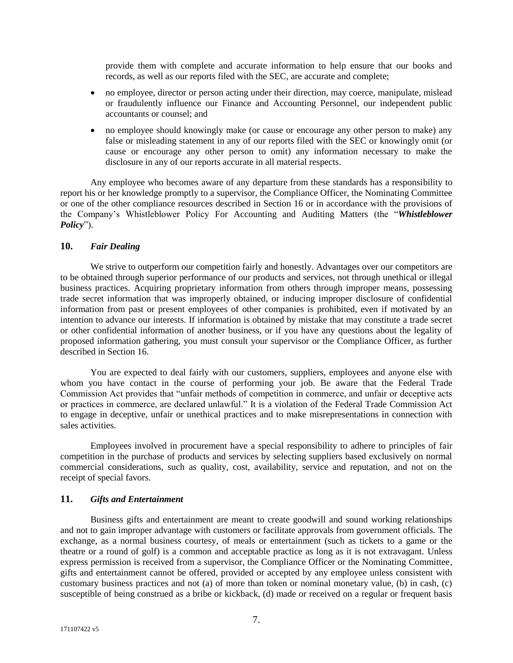provide them with complete and accurate information to help ensure that our books and records, as well as our reports filed with the SEC, are accurate and complete;

- no employee, director or person acting under their direction, may coerce, manipulate, mislead or fraudulently influence our Finance and Accounting Personnel, our independent public accountants or counsel; and
- no employee should knowingly make (or cause or encourage any other person to make) any false or misleading statement in any of our reports filed with the SEC or knowingly omit (or cause or encourage any other person to omit) any information necessary to make the disclosure in any of our reports accurate in all material respects.

Any employee who becomes aware of any departure from these standards has a responsibility to report his or her knowledge promptly to a supervisor, the Compliance Officer, the Nominating Committee or one of the other compliance resources described in Section 16 or in accordance with the provisions of the Company's Whistleblower Policy For Accounting and Auditing Matters (the "*Whistleblower Policy*").

## **10.** *Fair Dealing*

We strive to outperform our competition fairly and honestly. Advantages over our competitors are to be obtained through superior performance of our products and services, not through unethical or illegal business practices. Acquiring proprietary information from others through improper means, possessing trade secret information that was improperly obtained, or inducing improper disclosure of confidential information from past or present employees of other companies is prohibited, even if motivated by an intention to advance our interests. If information is obtained by mistake that may constitute a trade secret or other confidential information of another business, or if you have any questions about the legality of proposed information gathering, you must consult your supervisor or the Compliance Officer, as further described in Section 16.

You are expected to deal fairly with our customers, suppliers, employees and anyone else with whom you have contact in the course of performing your job. Be aware that the Federal Trade Commission Act provides that "unfair methods of competition in commerce, and unfair or deceptive acts or practices in commerce, are declared unlawful." It is a violation of the Federal Trade Commission Act to engage in deceptive, unfair or unethical practices and to make misrepresentations in connection with sales activities.

Employees involved in procurement have a special responsibility to adhere to principles of fair competition in the purchase of products and services by selecting suppliers based exclusively on normal commercial considerations, such as quality, cost, availability, service and reputation, and not on the receipt of special favors.

#### **11.** *Gifts and Entertainment*

Business gifts and entertainment are meant to create goodwill and sound working relationships and not to gain improper advantage with customers or facilitate approvals from government officials. The exchange, as a normal business courtesy, of meals or entertainment (such as tickets to a game or the theatre or a round of golf) is a common and acceptable practice as long as it is not extravagant. Unless express permission is received from a supervisor, the Compliance Officer or the Nominating Committee, gifts and entertainment cannot be offered, provided or accepted by any employee unless consistent with customary business practices and not (a) of more than token or nominal monetary value, (b) in cash, (c) susceptible of being construed as a bribe or kickback, (d) made or received on a regular or frequent basis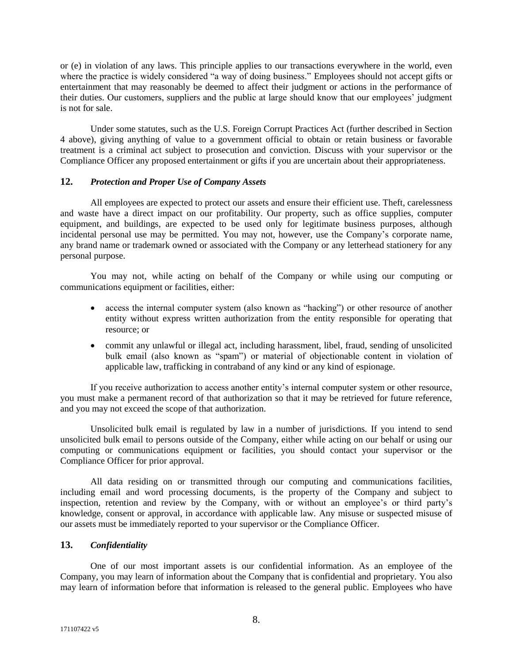or (e) in violation of any laws. This principle applies to our transactions everywhere in the world, even where the practice is widely considered "a way of doing business." Employees should not accept gifts or entertainment that may reasonably be deemed to affect their judgment or actions in the performance of their duties. Our customers, suppliers and the public at large should know that our employees' judgment is not for sale.

Under some statutes, such as the U.S. Foreign Corrupt Practices Act (further described in Section 4 above), giving anything of value to a government official to obtain or retain business or favorable treatment is a criminal act subject to prosecution and conviction. Discuss with your supervisor or the Compliance Officer any proposed entertainment or gifts if you are uncertain about their appropriateness.

### **12.** *Protection and Proper Use of Company Assets*

All employees are expected to protect our assets and ensure their efficient use. Theft, carelessness and waste have a direct impact on our profitability. Our property, such as office supplies, computer equipment, and buildings, are expected to be used only for legitimate business purposes, although incidental personal use may be permitted. You may not, however, use the Company's corporate name, any brand name or trademark owned or associated with the Company or any letterhead stationery for any personal purpose.

You may not, while acting on behalf of the Company or while using our computing or communications equipment or facilities, either:

- access the internal computer system (also known as "hacking") or other resource of another entity without express written authorization from the entity responsible for operating that resource; or
- commit any unlawful or illegal act, including harassment, libel, fraud, sending of unsolicited bulk email (also known as "spam") or material of objectionable content in violation of applicable law, trafficking in contraband of any kind or any kind of espionage.

If you receive authorization to access another entity's internal computer system or other resource, you must make a permanent record of that authorization so that it may be retrieved for future reference, and you may not exceed the scope of that authorization.

Unsolicited bulk email is regulated by law in a number of jurisdictions. If you intend to send unsolicited bulk email to persons outside of the Company, either while acting on our behalf or using our computing or communications equipment or facilities, you should contact your supervisor or the Compliance Officer for prior approval.

All data residing on or transmitted through our computing and communications facilities, including email and word processing documents, is the property of the Company and subject to inspection, retention and review by the Company, with or without an employee's or third party's knowledge, consent or approval, in accordance with applicable law. Any misuse or suspected misuse of our assets must be immediately reported to your supervisor or the Compliance Officer.

# **13.** *Confidentiality*

One of our most important assets is our confidential information. As an employee of the Company, you may learn of information about the Company that is confidential and proprietary. You also may learn of information before that information is released to the general public. Employees who have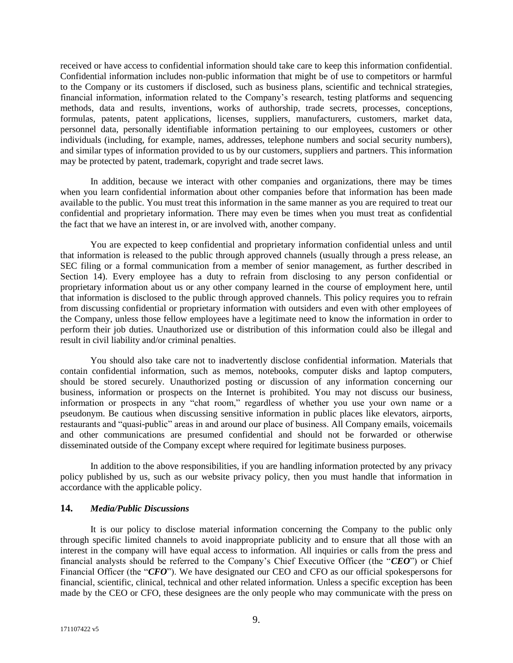received or have access to confidential information should take care to keep this information confidential. Confidential information includes non-public information that might be of use to competitors or harmful to the Company or its customers if disclosed, such as business plans, scientific and technical strategies, financial information, information related to the Company's research, testing platforms and sequencing methods, data and results, inventions, works of authorship, trade secrets, processes, conceptions, formulas, patents, patent applications, licenses, suppliers, manufacturers, customers, market data, personnel data, personally identifiable information pertaining to our employees, customers or other individuals (including, for example, names, addresses, telephone numbers and social security numbers), and similar types of information provided to us by our customers, suppliers and partners. This information may be protected by patent, trademark, copyright and trade secret laws.

In addition, because we interact with other companies and organizations, there may be times when you learn confidential information about other companies before that information has been made available to the public. You must treat this information in the same manner as you are required to treat our confidential and proprietary information. There may even be times when you must treat as confidential the fact that we have an interest in, or are involved with, another company.

You are expected to keep confidential and proprietary information confidential unless and until that information is released to the public through approved channels (usually through a press release, an SEC filing or a formal communication from a member of senior management, as further described in Section 14). Every employee has a duty to refrain from disclosing to any person confidential or proprietary information about us or any other company learned in the course of employment here, until that information is disclosed to the public through approved channels. This policy requires you to refrain from discussing confidential or proprietary information with outsiders and even with other employees of the Company, unless those fellow employees have a legitimate need to know the information in order to perform their job duties. Unauthorized use or distribution of this information could also be illegal and result in civil liability and/or criminal penalties.

You should also take care not to inadvertently disclose confidential information. Materials that contain confidential information, such as memos, notebooks, computer disks and laptop computers, should be stored securely. Unauthorized posting or discussion of any information concerning our business, information or prospects on the Internet is prohibited. You may not discuss our business, information or prospects in any "chat room," regardless of whether you use your own name or a pseudonym. Be cautious when discussing sensitive information in public places like elevators, airports, restaurants and "quasi-public" areas in and around our place of business. All Company emails, voicemails and other communications are presumed confidential and should not be forwarded or otherwise disseminated outside of the Company except where required for legitimate business purposes.

In addition to the above responsibilities, if you are handling information protected by any privacy policy published by us, such as our website privacy policy, then you must handle that information in accordance with the applicable policy.

# **14.** *Media/Public Discussions*

It is our policy to disclose material information concerning the Company to the public only through specific limited channels to avoid inappropriate publicity and to ensure that all those with an interest in the company will have equal access to information. All inquiries or calls from the press and financial analysts should be referred to the Company's Chief Executive Officer (the "*CEO*") or Chief Financial Officer (the "*CFO*"). We have designated our CEO and CFO as our official spokespersons for financial, scientific, clinical, technical and other related information. Unless a specific exception has been made by the CEO or CFO, these designees are the only people who may communicate with the press on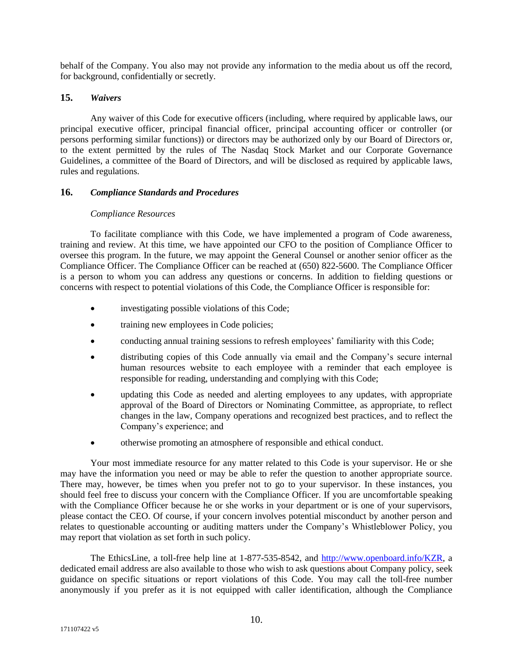behalf of the Company. You also may not provide any information to the media about us off the record, for background, confidentially or secretly.

# **15.** *Waivers*

Any waiver of this Code for executive officers (including, where required by applicable laws, our principal executive officer, principal financial officer, principal accounting officer or controller (or persons performing similar functions)) or directors may be authorized only by our Board of Directors or, to the extent permitted by the rules of The Nasdaq Stock Market and our Corporate Governance Guidelines, a committee of the Board of Directors, and will be disclosed as required by applicable laws, rules and regulations.

# **16.** *Compliance Standards and Procedures*

### *Compliance Resources*

To facilitate compliance with this Code, we have implemented a program of Code awareness, training and review. At this time, we have appointed our CFO to the position of Compliance Officer to oversee this program. In the future, we may appoint the General Counsel or another senior officer as the Compliance Officer. The Compliance Officer can be reached at (650) 822-5600. The Compliance Officer is a person to whom you can address any questions or concerns. In addition to fielding questions or concerns with respect to potential violations of this Code, the Compliance Officer is responsible for:

- investigating possible violations of this Code;
- training new employees in Code policies;
- conducting annual training sessions to refresh employees' familiarity with this Code;
- distributing copies of this Code annually via email and the Company's secure internal human resources website to each employee with a reminder that each employee is responsible for reading, understanding and complying with this Code;
- updating this Code as needed and alerting employees to any updates, with appropriate approval of the Board of Directors or Nominating Committee, as appropriate, to reflect changes in the law, Company operations and recognized best practices, and to reflect the Company's experience; and
- otherwise promoting an atmosphere of responsible and ethical conduct.

Your most immediate resource for any matter related to this Code is your supervisor. He or she may have the information you need or may be able to refer the question to another appropriate source. There may, however, be times when you prefer not to go to your supervisor. In these instances, you should feel free to discuss your concern with the Compliance Officer. If you are uncomfortable speaking with the Compliance Officer because he or she works in your department or is one of your supervisors, please contact the CEO. Of course, if your concern involves potential misconduct by another person and relates to questionable accounting or auditing matters under the Company's Whistleblower Policy, you may report that violation as set forth in such policy.

The EthicsLine, a toll-free help line at 1-877-535-8542, and [http://www.openboard.info/KZR,](http://www.openboard.info/KZR) a dedicated email address are also available to those who wish to ask questions about Company policy, seek guidance on specific situations or report violations of this Code. You may call the toll-free number anonymously if you prefer as it is not equipped with caller identification, although the Compliance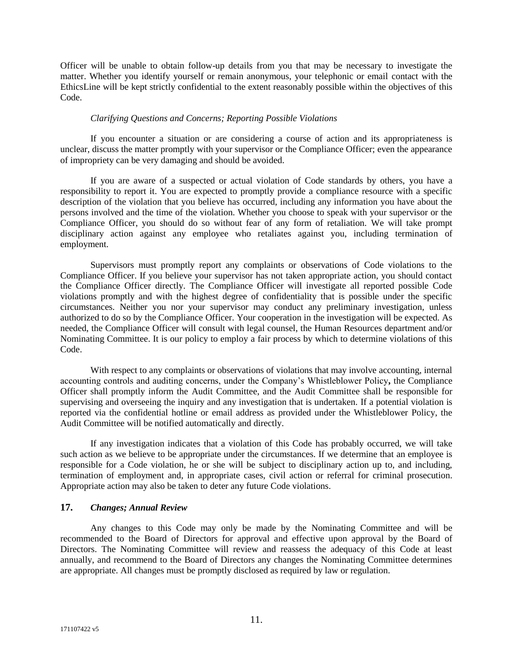Officer will be unable to obtain follow-up details from you that may be necessary to investigate the matter. Whether you identify yourself or remain anonymous, your telephonic or email contact with the EthicsLine will be kept strictly confidential to the extent reasonably possible within the objectives of this Code.

#### *Clarifying Questions and Concerns; Reporting Possible Violations*

If you encounter a situation or are considering a course of action and its appropriateness is unclear, discuss the matter promptly with your supervisor or the Compliance Officer; even the appearance of impropriety can be very damaging and should be avoided.

If you are aware of a suspected or actual violation of Code standards by others, you have a responsibility to report it. You are expected to promptly provide a compliance resource with a specific description of the violation that you believe has occurred, including any information you have about the persons involved and the time of the violation. Whether you choose to speak with your supervisor or the Compliance Officer, you should do so without fear of any form of retaliation. We will take prompt disciplinary action against any employee who retaliates against you, including termination of employment.

Supervisors must promptly report any complaints or observations of Code violations to the Compliance Officer. If you believe your supervisor has not taken appropriate action, you should contact the Compliance Officer directly. The Compliance Officer will investigate all reported possible Code violations promptly and with the highest degree of confidentiality that is possible under the specific circumstances. Neither you nor your supervisor may conduct any preliminary investigation, unless authorized to do so by the Compliance Officer. Your cooperation in the investigation will be expected. As needed, the Compliance Officer will consult with legal counsel, the Human Resources department and/or Nominating Committee. It is our policy to employ a fair process by which to determine violations of this Code.

With respect to any complaints or observations of violations that may involve accounting, internal accounting controls and auditing concerns, under the Company's Whistleblower Policy**,** the Compliance Officer shall promptly inform the Audit Committee, and the Audit Committee shall be responsible for supervising and overseeing the inquiry and any investigation that is undertaken. If a potential violation is reported via the confidential hotline or email address as provided under the Whistleblower Policy, the Audit Committee will be notified automatically and directly.

If any investigation indicates that a violation of this Code has probably occurred, we will take such action as we believe to be appropriate under the circumstances. If we determine that an employee is responsible for a Code violation, he or she will be subject to disciplinary action up to, and including, termination of employment and, in appropriate cases, civil action or referral for criminal prosecution. Appropriate action may also be taken to deter any future Code violations.

# **17.** *Changes; Annual Review*

Any changes to this Code may only be made by the Nominating Committee and will be recommended to the Board of Directors for approval and effective upon approval by the Board of Directors. The Nominating Committee will review and reassess the adequacy of this Code at least annually, and recommend to the Board of Directors any changes the Nominating Committee determines are appropriate. All changes must be promptly disclosed as required by law or regulation.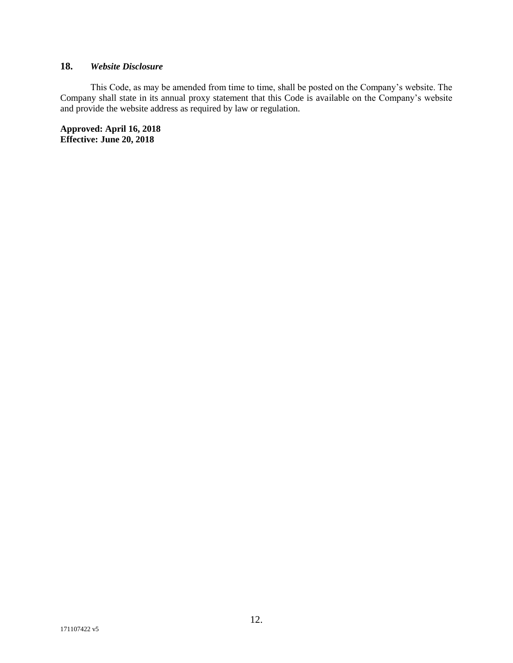# **18.** *Website Disclosure*

This Code, as may be amended from time to time, shall be posted on the Company's website. The Company shall state in its annual proxy statement that this Code is available on the Company's website and provide the website address as required by law or regulation.

**Approved: April 16, 2018 Effective: June 20, 2018**